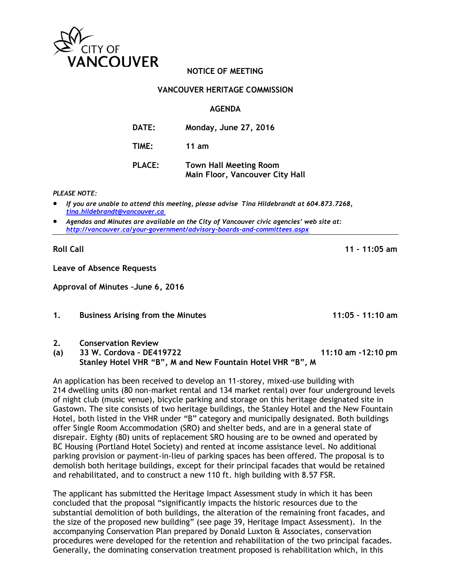

## **NOTICE OF MEETING**

### **VANCOUVER HERITAGE COMMISSION**

#### **AGENDA**

| <b>DATE:</b>  | Monday, June 27, 2016                                            |
|---------------|------------------------------------------------------------------|
| TIME:         | 11 am                                                            |
| <b>PLACE:</b> | <b>Town Hall Meeting Room</b><br>Main Floor, Vancouver City Hall |

*PLEASE NOTE:*

• *If you are unable to attend this meeting, please advise Tina Hildebrandt at 604.873.7268, [tina.hildebrandt@vancouver.ca](mailto:tina.hildebrandt@vancouver.ca)*

• *Agendas and Minutes are available on the City of Vancouver civic agencies' web site at: <http://vancouver.ca/your-government/advisory-boards-and-committees.aspx>*

**Roll Call 11 – 11:05 am**

**Leave of Absence Requests**

**Approval of Minutes –June 6, 2016**

**1. Business Arising from the Minutes 11:05 – 11:10 am**

#### **2. Conservation Review**

## **(a) 33 W. Cordova – DE419722 11:10 am -12:10 pm Stanley Hotel VHR "B", M and New Fountain Hotel VHR "B", M**

An application has been received to develop an 11-storey, mixed-use building with 214 dwelling units (80 non-market rental and 134 market rental) over four underground levels of night club (music venue), bicycle parking and storage on this heritage designated site in Gastown. The site consists of two heritage buildings, the Stanley Hotel and the New Fountain Hotel, both listed in the VHR under "B" category and municipally designated. Both buildings offer Single Room Accommodation (SRO) and shelter beds, and are in a general state of disrepair. Eighty (80) units of replacement SRO housing are to be owned and operated by BC Housing (Portland Hotel Society) and rented at income assistance level. No additional parking provision or payment-in-lieu of parking spaces has been offered. The proposal is to demolish both heritage buildings, except for their principal facades that would be retained and rehabilitated, and to construct a new 110 ft. high building with 8.57 FSR.

The applicant has submitted the Heritage Impact Assessment study in which it has been concluded that the proposal "significantly impacts the historic resources due to the substantial demolition of both buildings, the alteration of the remaining front facades, and the size of the proposed new building" (see page 39, Heritage Impact Assessment). In the accompanying Conservation Plan prepared by Donald Luxton & Associates, conservation procedures were developed for the retention and rehabilitation of the two principal facades. Generally, the dominating conservation treatment proposed is rehabilitation which, in this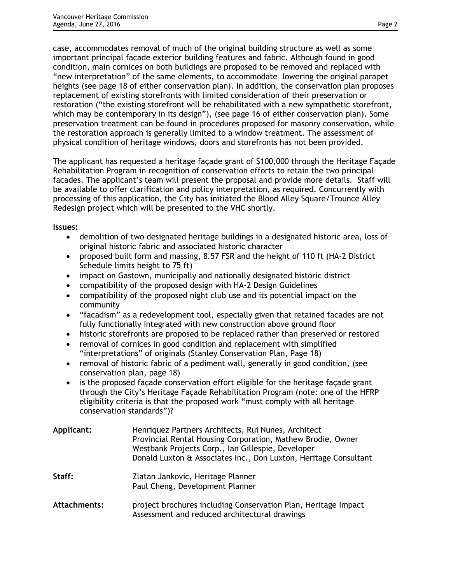case, accommodates removal of much of the original building structure as well as some important principal facade exterior building features and fabric. Although found in good condition, main cornices on both buildings are proposed to be removed and replaced with "new interpretation" of the same elements, to accommodate lowering the original parapet heights (see page 18 of either conservation plan). In addition, the conservation plan proposes replacement of existing storefronts with limited consideration of their preservation or restoration ("the existing storefront will be rehabilitated with a new sympathetic storefront, which may be contemporary in its design"), (see page 16 of either conservation plan). Some preservation treatment can be found in procedures proposed for masonry conservation, while the restoration approach is generally limited to a window treatment. The assessment of physical condition of heritage windows, doors and storefronts has not been provided.

The applicant has requested a heritage façade grant of \$100,000 through the Heritage Façade Rehabilitation Program in recognition of conservation efforts to retain the two principal facades. The applicant's team will present the proposal and provide more details. Staff will be available to offer clarification and policy interpretation, as required. Concurrently with processing of this application, the City has initiated the Blood Alley Square/Trounce Alley Redesign project which will be presented to the VHC shortly.

**Issues:**

- demolition of two designated heritage buildings in a designated historic area, loss of original historic fabric and associated historic character
- proposed built form and massing, 8.57 FSR and the height of 110 ft (HA-2 District Schedule limits height to 75 ft)
- impact on Gastown, municipally and nationally designated historic district
- compatibility of the proposed design with HA-2 Design Guidelines
- compatibility of the proposed night club use and its potential impact on the community
- "facadism" as a redevelopment tool, especially given that retained facades are not fully functionally integrated with new construction above ground floor
- historic storefronts are proposed to be replaced rather than preserved or restored
- removal of cornices in good condition and replacement with simplified "interpretations" of originals (Stanley Conservation Plan, Page 18)
- removal of historic fabric of a pediment wall, generally in good condition, (see conservation plan, page 18)
- is the proposed facade conservation effort eligible for the heritage facade grant through the City's Heritage Façade Rehabilitation Program (note: one of the HFRP eligibility criteria is that the proposed work "must comply with all heritage conservation standards")?

| Applicant: | Henriquez Partners Architects, Rui Nunes, Architect<br>Provincial Rental Housing Corporation, Mathew Brodie, Owner<br>Westbank Projects Corp., Ian Gillespie, Developer<br>Donald Luxton & Associates Inc., Don Luxton, Heritage Consultant |
|------------|---------------------------------------------------------------------------------------------------------------------------------------------------------------------------------------------------------------------------------------------|
| Staff:     | Zlatan Jankovic, Heritage Planner<br>Paul Cheng, Development Planner                                                                                                                                                                        |
|            |                                                                                                                                                                                                                                             |

**Attachments:** project brochures including Conservation Plan, Heritage Impact Assessment and reduced architectural drawings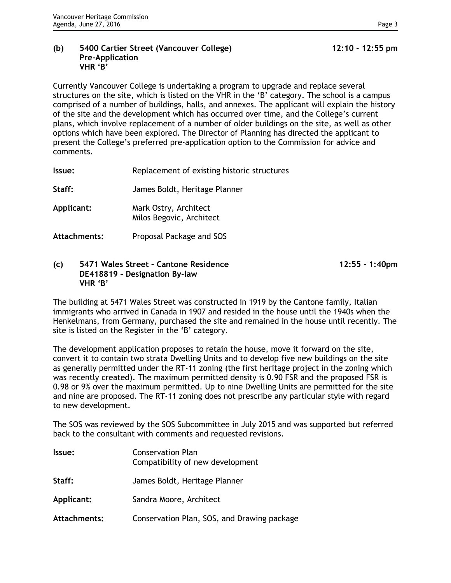#### **(b) 5400 Cartier Street (Vancouver College) 12:10 - 12:55 pm Pre-Application VHR 'B'**

Currently Vancouver College is undertaking a program to upgrade and replace several structures on the site, which is listed on the VHR in the 'B' category. The school is a campus comprised of a number of buildings, halls, and annexes. The applicant will explain the history of the site and the development which has occurred over time, and the College's current plans, which involve replacement of a number of older buildings on the site, as well as other options which have been explored. The Director of Planning has directed the applicant to present the College's preferred pre-application option to the Commission for advice and comments.

**Issue:** Replacement of existing historic structures

**Staff:** James Boldt, Heritage Planner

- **Applicant:** Mark Ostry, Architect Milos Begovic, Architect
- **Attachments:** Proposal Package and SOS

#### **(c) 5471 Wales Street – Cantone Residence 12:55 - 1:40pm DE418819 – Designation By-law VHR 'B'**

The building at 5471 Wales Street was constructed in 1919 by the Cantone family, Italian immigrants who arrived in Canada in 1907 and resided in the house until the 1940s when the Henkelmans, from Germany, purchased the site and remained in the house until recently. The site is listed on the Register in the 'B' category.

The development application proposes to retain the house, move it forward on the site, convert it to contain two strata Dwelling Units and to develop five new buildings on the site as generally permitted under the RT-11 zoning (the first heritage project in the zoning which was recently created). The maximum permitted density is 0.90 FSR and the proposed FSR is 0.98 or 9% over the maximum permitted. Up to nine Dwelling Units are permitted for the site and nine are proposed. The RT-11 zoning does not prescribe any particular style with regard to new development.

The SOS was reviewed by the SOS Subcommittee in July 2015 and was supported but referred back to the consultant with comments and requested revisions.

| Issue:       | <b>Conservation Plan</b><br>Compatibility of new development |
|--------------|--------------------------------------------------------------|
| Staff:       | James Boldt, Heritage Planner                                |
| Applicant:   | Sandra Moore, Architect                                      |
| Attachments: | Conservation Plan, SOS, and Drawing package                  |